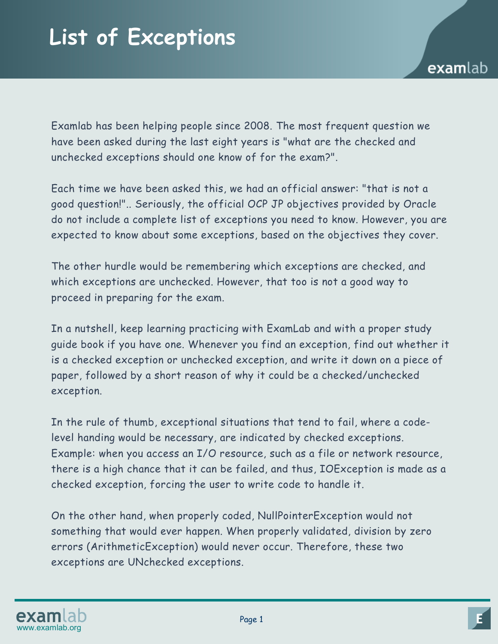Examlab has been helping people since 2008. The most frequent question we have been asked during the last eight years is "what are the checked and unchecked exceptions should one know of for the exam?".

Each time we have been asked this, we had an official answer: "that is not a good question!".. Seriously, the official OCP JP objectives provided by Oracle do not include a complete list of exceptions you need to know. However, you are expected to know about some exceptions, based on the objectives they cover.

The other hurdle would be remembering which exceptions are checked, and which exceptions are unchecked. However, that too is not a good way to proceed in preparing for the exam.

In a nutshell, keep learning practicing with ExamLab and with a proper study guide book if you have one. Whenever you find an exception, find out whether it is a checked exception or unchecked exception, and write it down on a piece of paper, followed by a short reason of why it could be a checked/unchecked exception.

In the rule of thumb, exceptional situations that tend to fail, where a codelevel handing would be necessary, are indicated by checked exceptions. Example: when you access an I/O resource, such as a file or network resource, there is a high chance that it can be failed, and thus, IOException is made as a checked exception, forcing the user to write code to handle it.

On the other hand, when properly coded, NullPointerException would not something that would ever happen. When properly validated, division by zero errors (ArithmeticException) would never occur. Therefore, these two exceptions are UNchecked exceptions.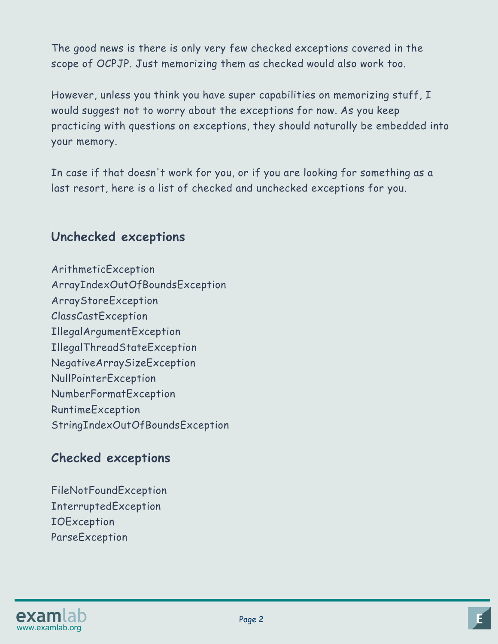The good news is there is only very few checked exceptions covered in the scope of OCPJP. Just memorizing them as checked would also work too.

However, unless you think you have super capabilities on memorizing stuff, I would suggest not to worry about the exceptions for now. As you keep practicing with questions on exceptions, they should naturally be embedded into your memory.

In case if that doesn't work for you, or if you are looking for something as a last resort, here is a list of checked and unchecked exceptions for you.

## **Unchecked exceptions**

ArithmeticException ArrayIndexOutOfBoundsException ArrayStoreException ClassCastException IllegalArgumentException IllegalThreadStateException NegativeArraySizeException NullPointerException NumberFormatException RuntimeException StringIndexOutOfBoundsException

## **Checked exceptions**

FileNotFoundException InterruptedException **IOException** ParseException